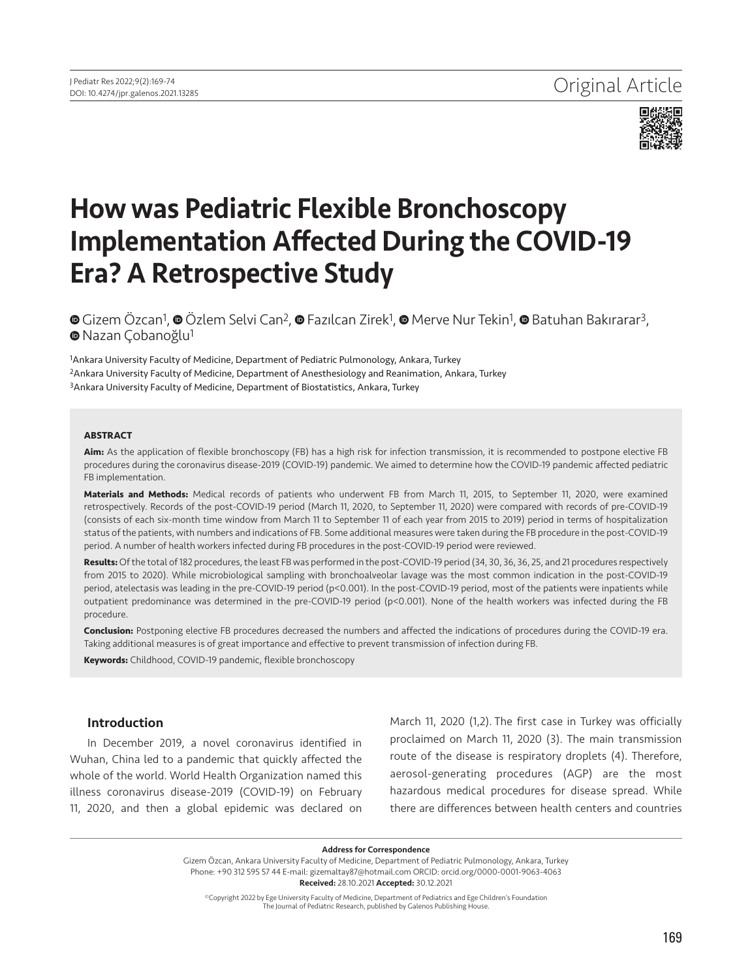

# How was Pediatric Flexible Bronchoscopy Implementation Affected During the COVID-19 Era? A Retrospective Study

**©**Gizem Özcan<sup>1</sup>, **©** Özlem Selvi Can<sup>2</sup>, © Fazılcan Zirek<sup>1</sup>, © Merve Nur Tekin<sup>1</sup>, © Batuhan Bakırarar<sup>3</sup>, **⊕** [N](https://orcid.org/0000-0002-3686-2927)azan Çobanoğlu<sup>1</sup>

<sup>1</sup>Ankara University Faculty of Medicine, Department of Pediatric Pulmonology, Ankara, Turkey 2Ankara University Faculty of Medicine, Department of Anesthesiology and Reanimation, Ankara, Turkey 3Ankara University Faculty of Medicine, Department of Biostatistics, Ankara, Turkey

#### **ABSTRACT**

**Aim:** As the application of flexible bronchoscopy (FB) has a high risk for infection transmission, it is recommended to postpone elective FB procedures during the coronavirus disease-2019 (COVID-19) pandemic. We aimed to determine how the COVID-19 pandemic affected pediatric FB implementation.

**Materials and Methods:** Medical records of patients who underwent FB from March 11, 2015, to September 11, 2020, were examined retrospectively. Records of the post-COVID-19 period (March 11, 2020, to September 11, 2020) were compared with records of pre-COVID-19 (consists of each six-month time window from March 11 to September 11 of each year from 2015 to 2019) period in terms of hospitalization status of the patients, with numbers and indications of FB. Some additional measures were taken during the FB procedure in the post-COVID-19 period. A number of health workers infected during FB procedures in the post-COVID-19 period were reviewed.

**Results:** Of the total of 182 procedures, the least FB was performed in the post-COVID-19 period (34, 30, 36, 36, 25, and 21 procedures respectively from 2015 to 2020). While microbiological sampling with bronchoalveolar lavage was the most common indication in the post-COVID-19 period, atelectasis was leading in the pre-COVID-19 period (p<0.001). In the post-COVID-19 period, most of the patients were inpatients while outpatient predominance was determined in the pre-COVID-19 period (p<0.001). None of the health workers was infected during the FB procedure.

**Conclusion:** Postponing elective FB procedures decreased the numbers and affected the indications of procedures during the COVID-19 era. Taking additional measures is of great importance and effective to prevent transmission of infection during FB.

**Keywords:** Childhood, COVID-19 pandemic, flexible bronchoscopy

# Introduction

In December 2019, a novel coronavirus identified in Wuhan, China led to a pandemic that quickly affected the whole of the world. World Health Organization named this illness coronavirus disease-2019 (COVID-19) on February 11, 2020, and then a global epidemic was declared on March 11, 2020 (1,2). The first case in Turkey was officially proclaimed on March 11, 2020 (3). The main transmission route of the disease is respiratory droplets (4). Therefore, aerosol-generating procedures (AGP) are the most hazardous medical procedures for disease spread. While there are differences between health centers and countries

Address for Correspondence

Gizem Özcan, Ankara University Faculty of Medicine, Department of Pediatric Pulmonology, Ankara, Turkey Phone: +90 312 595 57 44 E-mail: gizemaltay87@hotmail.com ORCID: orcid.org/0000-0001-9063-4063 Received: 28.10.2021 Accepted: 30.12.2021

©Copyright 2022 by Ege University Faculty of Medicine, Department of Pediatrics and Ege Children's Foundation The Journal of Pediatric Research, published by Galenos Publishing House.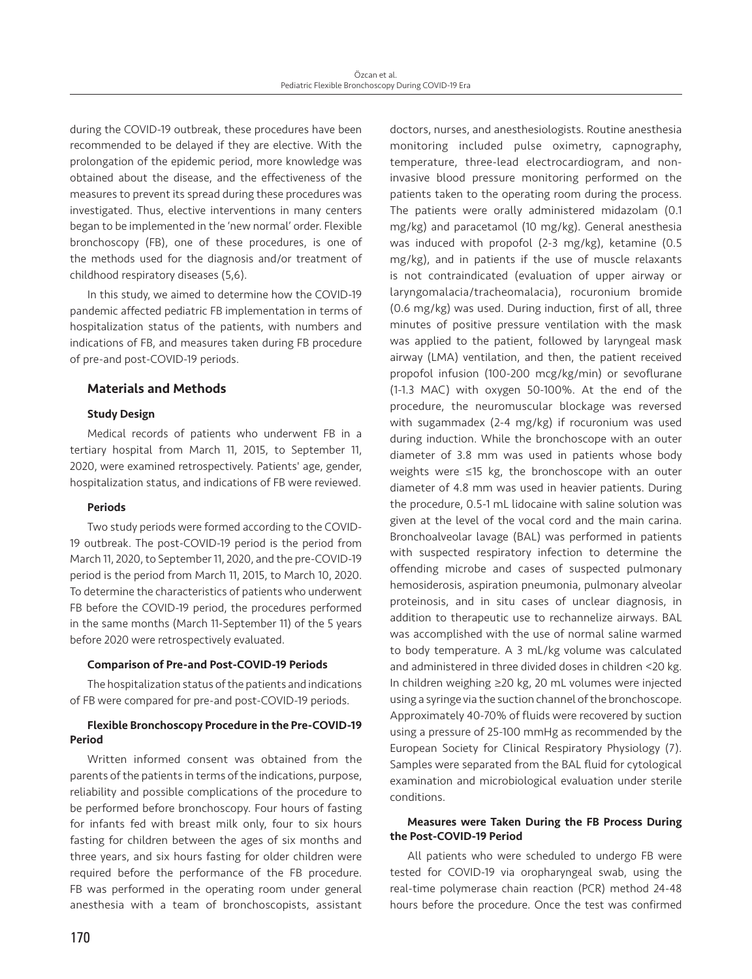during the COVID-19 outbreak, these procedures have been recommended to be delayed if they are elective. With the prolongation of the epidemic period, more knowledge was obtained about the disease, and the effectiveness of the measures to prevent its spread during these procedures was investigated. Thus, elective interventions in many centers began to be implemented in the 'new normal' order. Flexible bronchoscopy (FB), one of these procedures, is one of the methods used for the diagnosis and/or treatment of childhood respiratory diseases (5,6).

In this study, we aimed to determine how the COVID-19 pandemic affected pediatric FB implementation in terms of hospitalization status of the patients, with numbers and indications of FB, and measures taken during FB procedure of pre-and post-COVID-19 periods.

# Materials and Methods

# Study Design

Medical records of patients who underwent FB in a tertiary hospital from March 11, 2015, to September 11, 2020, were examined retrospectively. Patients' age, gender, hospitalization status, and indications of FB were reviewed.

# Periods

Two study periods were formed according to the COVID-19 outbreak. The post-COVID-19 period is the period from March 11, 2020, to September 11, 2020, and the pre-COVID-19 period is the period from March 11, 2015, to March 10, 2020. To determine the characteristics of patients who underwent FB before the COVID-19 period, the procedures performed in the same months (March 11-September 11) of the 5 years before 2020 were retrospectively evaluated.

# Comparison of Pre-and Post-COVID-19 Periods

The hospitalization status of the patients and indications of FB were compared for pre-and post-COVID-19 periods.

# Flexible Bronchoscopy Procedure in the Pre-COVID-19 Period

Written informed consent was obtained from the parents of the patients in terms of the indications, purpose, reliability and possible complications of the procedure to be performed before bronchoscopy. Four hours of fasting for infants fed with breast milk only, four to six hours fasting for children between the ages of six months and three years, and six hours fasting for older children were required before the performance of the FB procedure. FB was performed in the operating room under general anesthesia with a team of bronchoscopists, assistant

doctors, nurses, and anesthesiologists. Routine anesthesia monitoring included pulse oximetry, capnography, temperature, three-lead electrocardiogram, and noninvasive blood pressure monitoring performed on the patients taken to the operating room during the process. The patients were orally administered midazolam (0.1 mg/kg) and paracetamol (10 mg/kg). General anesthesia was induced with propofol (2-3 mg/kg), ketamine (0.5 mg/kg), and in patients if the use of muscle relaxants is not contraindicated (evaluation of upper airway or laryngomalacia/tracheomalacia), rocuronium bromide (0.6 mg/kg) was used. During induction, first of all, three minutes of positive pressure ventilation with the mask was applied to the patient, followed by laryngeal mask airway (LMA) ventilation, and then, the patient received propofol infusion (100-200 mcg/kg/min) or sevoflurane (1-1.3 MAC) with oxygen 50-100%. At the end of the procedure, the neuromuscular blockage was reversed with sugammadex (2-4 mg/kg) if rocuronium was used during induction. While the bronchoscope with an outer diameter of 3.8 mm was used in patients whose body weights were ≤15 kg, the bronchoscope with an outer diameter of 4.8 mm was used in heavier patients. During the procedure, 0.5-1 mL lidocaine with saline solution was given at the level of the vocal cord and the main carina. Bronchoalveolar lavage (BAL) was performed in patients with suspected respiratory infection to determine the offending microbe and cases of suspected pulmonary hemosiderosis, aspiration pneumonia, pulmonary alveolar proteinosis, and in situ cases of unclear diagnosis, in addition to therapeutic use to rechannelize airways. BAL was accomplished with the use of normal saline warmed to body temperature. A 3 mL/kg volume was calculated and administered in three divided doses in children <20 kg. In children weighing ≥20 kg, 20 mL volumes were injected using a syringe via the suction channel of the bronchoscope. Approximately 40-70% of fluids were recovered by suction using a pressure of 25-100 mmHg as recommended by the European Society for Clinical Respiratory Physiology (7). Samples were separated from the BAL fluid for cytological examination and microbiological evaluation under sterile conditions.

# Measures were Taken During the FB Process During the Post-COVID-19 Period

All patients who were scheduled to undergo FB were tested for COVID-19 via oropharyngeal swab, using the real-time polymerase chain reaction (PCR) method 24-48 hours before the procedure. Once the test was confirmed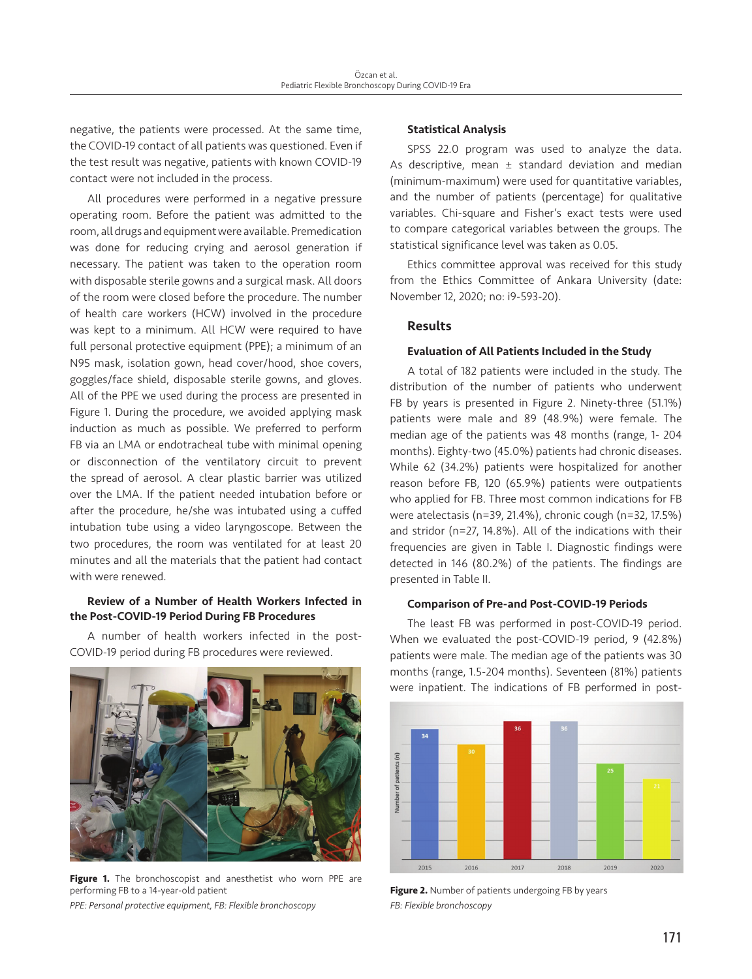negative, the patients were processed. At the same time, the COVID-19 contact of all patients was questioned. Even if the test result was negative, patients with known COVID-19 contact were not included in the process.

All procedures were performed in a negative pressure operating room. Before the patient was admitted to the room, all drugs and equipment were available. Premedication was done for reducing crying and aerosol generation if necessary. The patient was taken to the operation room with disposable sterile gowns and a surgical mask. All doors of the room were closed before the procedure. The number of health care workers (HCW) involved in the procedure was kept to a minimum. All HCW were required to have full personal protective equipment (PPE); a minimum of an N95 mask, isolation gown, head cover/hood, shoe covers, goggles/face shield, disposable sterile gowns, and gloves. All of the PPE we used during the process are presented in Figure 1. During the procedure, we avoided applying mask induction as much as possible. We preferred to perform FB via an LMA or endotracheal tube with minimal opening or disconnection of the ventilatory circuit to prevent the spread of aerosol. A clear plastic barrier was utilized over the LMA. If the patient needed intubation before or after the procedure, he/she was intubated using a cuffed intubation tube using a video laryngoscope. Between the two procedures, the room was ventilated for at least 20 minutes and all the materials that the patient had contact with were renewed.

# Review of a Number of Health Workers Infected in the Post-COVID-19 Period During FB Procedures

A number of health workers infected in the post-COVID-19 period during FB procedures were reviewed.



Figure 1. The bronchoscopist and anesthetist who worn PPE are performing FB to a 14-year-old patient

*PPE: Personal protective equipment, FB: Flexible bronchoscopy*

#### Statistical Analysis

SPSS 22.0 program was used to analyze the data. As descriptive, mean  $\pm$  standard deviation and median (minimum-maximum) were used for quantitative variables, and the number of patients (percentage) for qualitative variables. Chi-square and Fisher's exact tests were used to compare categorical variables between the groups. The statistical significance level was taken as 0.05.

Ethics committee approval was received for this study from the Ethics Committee of Ankara University (date: November 12, 2020; no: i9-593-20).

# Results

#### Evaluation of All Patients Included in the Study

A total of 182 patients were included in the study. The distribution of the number of patients who underwent FB by years is presented in Figure 2. Ninety-three (51.1%) patients were male and 89 (48.9%) were female. The median age of the patients was 48 months (range, 1- 204 months). Eighty-two (45.0%) patients had chronic diseases. While 62 (34.2%) patients were hospitalized for another reason before FB, 120 (65.9%) patients were outpatients who applied for FB. Three most common indications for FB were atelectasis (n=39, 21.4%), chronic cough (n=32, 17.5%) and stridor (n=27, 14.8%). All of the indications with their frequencies are given in Table I. Diagnostic findings were detected in 146 (80.2%) of the patients. The findings are presented in Table II.

## Comparison of Pre-and Post-COVID-19 Periods

The least FB was performed in post-COVID-19 period. When we evaluated the post-COVID-19 period, 9 (42.8%) patients were male. The median age of the patients was 30 months (range, 1.5-204 months). Seventeen (81%) patients were inpatient. The indications of FB performed in post-



Figure 2. Number of patients undergoing FB by years *FB: Flexible bronchoscopy*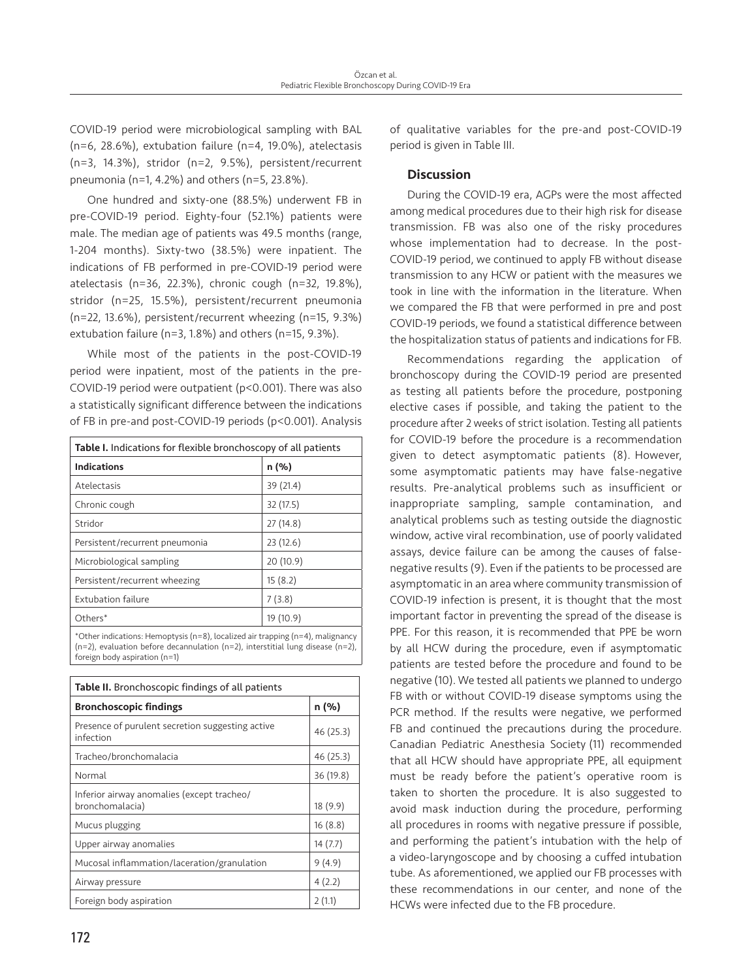COVID-19 period were microbiological sampling with BAL (n=6, 28.6%), extubation failure (n=4, 19.0%), atelectasis (n=3, 14.3%), stridor (n=2, 9.5%), persistent/recurrent pneumonia (n=1, 4.2%) and others (n=5, 23.8%).

One hundred and sixty-one (88.5%) underwent FB in pre-COVID-19 period. Eighty-four (52.1%) patients were male. The median age of patients was 49.5 months (range, 1-204 months). Sixty-two (38.5%) were inpatient. The indications of FB performed in pre-COVID-19 period were atelectasis (n=36, 22.3%), chronic cough (n=32, 19.8%), stridor (n=25, 15.5%), persistent/recurrent pneumonia (n=22, 13.6%), persistent/recurrent wheezing (n=15, 9.3%) extubation failure (n=3, 1.8%) and others (n=15, 9.3%).

While most of the patients in the post-COVID-19 period were inpatient, most of the patients in the pre-COVID-19 period were outpatient (p<0.001). There was also a statistically significant difference between the indications of FB in pre-and post-COVID-19 periods (p<0.001). Analysis

| <b>Table I.</b> Indications for flexible bronchoscopy of all patients            |           |  |  |  |
|----------------------------------------------------------------------------------|-----------|--|--|--|
| <b>Indications</b>                                                               | n (%)     |  |  |  |
| Atelectasis                                                                      | 39 (21.4) |  |  |  |
| Chronic cough                                                                    | 32 (17.5) |  |  |  |
| Stridor                                                                          | 27(14.8)  |  |  |  |
| Persistent/recurrent pneumonia                                                   | 23(12.6)  |  |  |  |
| Microbiological sampling                                                         | 20 (10.9) |  |  |  |
| Persistent/recurrent wheezing                                                    | 15(8.2)   |  |  |  |
| <b>Extubation failure</b>                                                        | 7(3.8)    |  |  |  |
| Others*                                                                          | 19 (10.9) |  |  |  |
| *Other indications: Hemoptysis $(n-8)$ localized air trapping $(n-4)$ malignapou |           |  |  |  |

\*Other indications: Hemoptysis (n=8), localized air trapping (n=4), malignancy (n=2), evaluation before decannulation (n=2), interstitial lung disease (n=2), foreign body aspiration (n=1)

| <b>Table II.</b> Bronchoscopic findings of all patients       |           |  |  |  |
|---------------------------------------------------------------|-----------|--|--|--|
| <b>Bronchoscopic findings</b>                                 | n (%)     |  |  |  |
| Presence of purulent secretion suggesting active<br>infection | 46 (25.3) |  |  |  |
| Tracheo/bronchomalacia                                        | 46 (25.3) |  |  |  |
| Normal                                                        | 36 (19.8) |  |  |  |
| Inferior airway anomalies (except tracheo/<br>bronchomalacia) | 18(9.9)   |  |  |  |
| Mucus plugging                                                | 16(8.8)   |  |  |  |
| Upper airway anomalies                                        | 14(7.7)   |  |  |  |
| Mucosal inflammation/laceration/granulation                   | 9(4.9)    |  |  |  |
| Airway pressure                                               | 4(2.2)    |  |  |  |
| Foreign body aspiration                                       | 2(1.1)    |  |  |  |

# **Discussion**

During the COVID-19 era, AGPs were the most affected among medical procedures due to their high risk for disease transmission. FB was also one of the risky procedures whose implementation had to decrease. In the post-COVID-19 period, we continued to apply FB without disease transmission to any HCW or patient with the measures we took in line with the information in the literature. When we compared the FB that were performed in pre and post COVID-19 periods, we found a statistical difference between the hospitalization status of patients and indications for FB.

Recommendations regarding the application of bronchoscopy during the COVID-19 period are presented as testing all patients before the procedure, postponing elective cases if possible, and taking the patient to the procedure after 2 weeks of strict isolation. Testing all patients for COVID-19 before the procedure is a recommendation given to detect asymptomatic patients (8). However, some asymptomatic patients may have false-negative results. Pre-analytical problems such as insufficient or inappropriate sampling, sample contamination, and analytical problems such as testing outside the diagnostic window, active viral recombination, use of poorly validated assays, device failure can be among the causes of falsenegative results (9). Even if the patients to be processed are asymptomatic in an area where community transmission of COVID-19 infection is present, it is thought that the most important factor in preventing the spread of the disease is PPE. For this reason, it is recommended that PPE be worn by all HCW during the procedure, even if asymptomatic patients are tested before the procedure and found to be negative (10). We tested all patients we planned to undergo FB with or without COVID-19 disease symptoms using the PCR method. If the results were negative, we performed FB and continued the precautions during the procedure. Canadian Pediatric Anesthesia Society (11) recommended that all HCW should have appropriate PPE, all equipment must be ready before the patient's operative room is taken to shorten the procedure. It is also suggested to avoid mask induction during the procedure, performing all procedures in rooms with negative pressure if possible, and performing the patient's intubation with the help of a video-laryngoscope and by choosing a cuffed intubation tube. As aforementioned, we applied our FB processes with these recommendations in our center, and none of the HCWs were infected due to the FB procedure.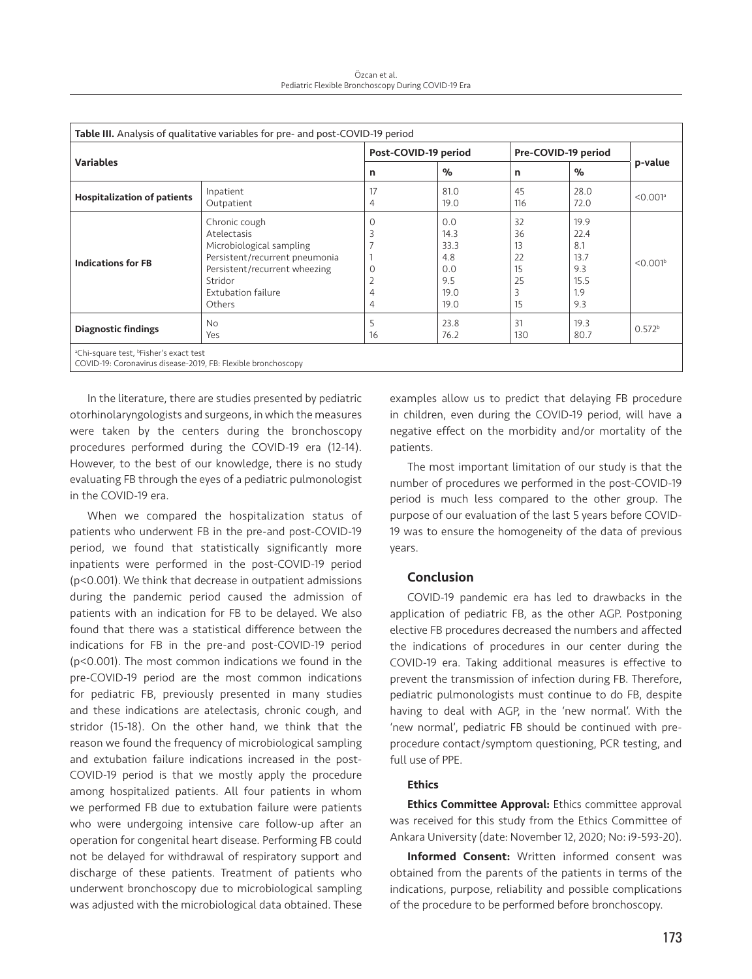Özcan et al. Pediatric Flexible Bronchoscopy During COVID-19 Era

| <b>Variables</b>                   |                                                                                                                                                                        | Post-COVID-19 period       |                                                          | Pre-COVID-19 period                    |                                                          |                        |
|------------------------------------|------------------------------------------------------------------------------------------------------------------------------------------------------------------------|----------------------------|----------------------------------------------------------|----------------------------------------|----------------------------------------------------------|------------------------|
|                                    |                                                                                                                                                                        | n                          | %                                                        | n                                      | $\%$                                                     | p-value                |
| <b>Hospitalization of patients</b> | Inpatient<br>Outpatient                                                                                                                                                | 4                          | 81.0<br>19.0                                             | 45<br>116                              | 28.0<br>72.0                                             | $< 0.001$ <sup>a</sup> |
| <b>Indications for FB</b>          | Chronic cough<br>Atelectasis<br>Microbiological sampling<br>Persistent/recurrent pneumonia<br>Persistent/recurrent wheezing<br>Stridor<br>Extubation failure<br>Others | 0<br>3<br>Ω<br>∠<br>4<br>4 | 0.0<br>14.3<br>33.3<br>4.8<br>0.0<br>9.5<br>19.0<br>19.0 | 32<br>36<br>13<br>22<br>15<br>25<br>15 | 19.9<br>22.4<br>8.1<br>13.7<br>9.3<br>15.5<br>1.9<br>9.3 | $< 0.001^b$            |
| <b>Diagnostic findings</b>         | No.<br>Yes                                                                                                                                                             | 5<br>16                    | 23.8<br>76.2                                             | 31<br>130                              | 19.3<br>80.7                                             | 0.572 <sup>b</sup>     |

In the literature, there are studies presented by pediatric otorhinolaryngologists and surgeons, in which the measures were taken by the centers during the bronchoscopy procedures performed during the COVID-19 era (12-14). However, to the best of our knowledge, there is no study evaluating FB through the eyes of a pediatric pulmonologist in the COVID-19 era.

When we compared the hospitalization status of patients who underwent FB in the pre-and post-COVID-19 period, we found that statistically significantly more inpatients were performed in the post-COVID-19 period (p<0.001). We think that decrease in outpatient admissions during the pandemic period caused the admission of patients with an indication for FB to be delayed. We also found that there was a statistical difference between the indications for FB in the pre-and post-COVID-19 period (p<0.001). The most common indications we found in the pre-COVID-19 period are the most common indications for pediatric FB, previously presented in many studies and these indications are atelectasis, chronic cough, and stridor (15-18). On the other hand, we think that the reason we found the frequency of microbiological sampling and extubation failure indications increased in the post-COVID-19 period is that we mostly apply the procedure among hospitalized patients. All four patients in whom we performed FB due to extubation failure were patients who were undergoing intensive care follow-up after an operation for congenital heart disease. Performing FB could not be delayed for withdrawal of respiratory support and discharge of these patients. Treatment of patients who underwent bronchoscopy due to microbiological sampling was adjusted with the microbiological data obtained. These

examples allow us to predict that delaying FB procedure in children, even during the COVID-19 period, will have a negative effect on the morbidity and/or mortality of the patients.

The most important limitation of our study is that the number of procedures we performed in the post-COVID-19 period is much less compared to the other group. The purpose of our evaluation of the last 5 years before COVID-19 was to ensure the homogeneity of the data of previous years.

# Conclusion

COVID-19 pandemic era has led to drawbacks in the application of pediatric FB, as the other AGP. Postponing elective FB procedures decreased the numbers and affected the indications of procedures in our center during the COVID-19 era. Taking additional measures is effective to prevent the transmission of infection during FB. Therefore, pediatric pulmonologists must continue to do FB, despite having to deal with AGP, in the 'new normal'. With the 'new normal', pediatric FB should be continued with preprocedure contact/symptom questioning, PCR testing, and full use of PPE.

# **Ethics**

Ethics Committee Approval: Ethics committee approval was received for this study from the Ethics Committee of Ankara University (date: November 12, 2020; No: i9-593-20).

Informed Consent: Written informed consent was obtained from the parents of the patients in terms of the indications, purpose, reliability and possible complications of the procedure to be performed before bronchoscopy.